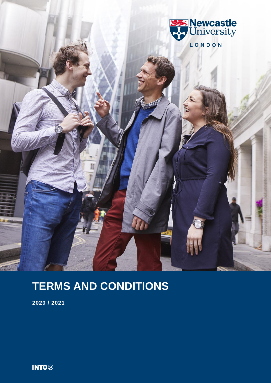



**2020 / 2021**

**INTO**<sup>®</sup>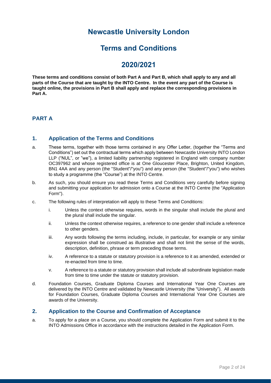# **Newcastle University London**

# **Terms and Conditions**

# **2020/2021**

**These terms and conditions consist of both Part A and Part B, which shall apply to any and all parts of the Course that are taught by the INTO Centre. In the event any part of the Course is taught online, the provisions in Part B shall apply and replace the corresponding provisions in Part A.**

# **PART A**

## **1. Application of the Terms and Conditions**

- a. These terms, together with those terms contained in any Offer Letter, (together the "Terms and Conditions") set out the contractual terms which apply between Newcastle University INTO London LLP ("NUL", or "we"), a limited liability partnership registered in England with company number OC397962 and whose registered office is at One Gloucester Place, Brighton, United Kingdom, BN1 4AA and any person (the "Student"/"you") and any person (the "Student"/"you") who wishes to study a programme (the "Course") at the INTO Centre.
- b. As such, you should ensure you read these Terms and Conditions very carefully before signing and submitting your application for admission onto a Course at the INTO Centre (the "Application Form").
- c. The following rules of interpretation will apply to these Terms and Conditions:
	- i. Unless the context otherwise requires, words in the singular shall include the plural and the plural shall include the singular.
	- ii. Unless the context otherwise requires, a reference to one gender shall include a reference to other genders.
	- iii. Any words following the terms including, include, in particular, for example or any similar expression shall be construed as illustrative and shall not limit the sense of the words, description, definition, phrase or term preceding those terms.
	- iv. A reference to a statute or statutory provision is a reference to it as amended, extended or re-enacted from time to time.
	- v. A reference to a statute or statutory provision shall include all subordinate legislation made from time to time under the statute or statutory provision.
- d. Foundation Courses, Graduate Diploma Courses and International Year One Courses are delivered by the INTO Centre and validated by Newcastle University (the "University"). All awards for Foundation Courses, Graduate Diploma Courses and International Year One Courses are awards of the University.

#### **2. Application to the Course and Confirmation of Acceptance**

a. To apply for a place on a Course, you should complete the Application Form and submit it to the INTO Admissions Office in accordance with the instructions detailed in the Application Form.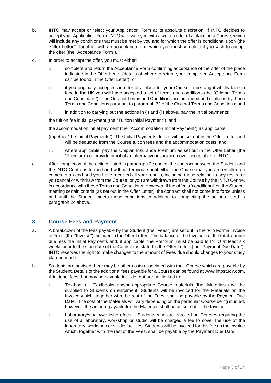- b. INTO may accept or reject your Application Form at its absolute discretion. If INTO decides to accept your Application Form, INTO will issue you with a written offer of a place on a Course, which will include any conditions that must be met by you and for which the offer is conditional upon (the "Offer Letter"), together with an acceptance form which you must complete if you wish to accept the offer (the "Acceptance Form").
- c. In order to accept the offer, you must either:
	- i. complete and return the Acceptance Form confirming acceptance of the offer of the place indicated in the Offer Letter (details of where to return your completed Acceptance Form can be found in the Offer Letter); or
	- ii. if you originally accepted an offer of a place for your Course to be taught wholly face to face in the UK you will have accepted a set of terms and conditions (the "Original Terms and Conditions"). The Original Terms and Conditions are amended and replaced by these Terms and Conditions pursuant to paragraph 32 of the Original Terms and Conditions; and
	- $ii.$  in addition to carrying out the actions in (i) and (ii) above, pay the initial payments:

the tuition fee initial payment (the "Tuition Initial Payment"); and

the accommodation initial payment (the "Accommodation Initial Payment") as applicable,

- (together "the Initial Payments"). The Initial Payments details will be set out in the Offer Letter and will be deducted from the Course tuition fees and the accommodation costs; and
- iii. where applicable, pay the Uniplan Insurance Premium as set out in the Offer Letter (the "Premium") or provide proof of an alternative insurance cover acceptable to INTO.
- d. After completion of the actions listed in paragraph 2c above, the contract between the Student and the INTO Centre is formed and will not terminate until either the Course that you are enrolled on comes to an end and you have received all your results, including those relating to any resits; or you cancel or withdraw from the Course; or you are withdrawn from the Course by the INTO Centre, in accordance with these Terms and Conditions. However, if the offer is 'conditional' on the Student meeting certain criteria (as set out in the Offer Letter), the contract shall not come into force unless and until the Student meets those conditions in addition to completing the actions listed in paragraph 2c above.

#### **3. Course Fees and Payment**

- a. A breakdown of the fees payable by the Student (the "Fees") are set out in the 'Pro Forma Invoice of Fees' (the "Invoice") included in the Offer Letter. The balance of the Invoice, i.e. the total amount due less the Initial Payments and, if applicable, the Premium, must be paid to INTO at least six weeks prior to the start date of the Course (as stated in the Offer Letter) (the "Payment Due Date"). INTO reserves the right to make changes to the amount of Fees due should changes to your study plan be made.
- b. Students are advised there may be other costs associated with their Course which are payable by the Student. Details of the additional fees payable for a Course can be found a[t www.intostudy.com.](http://www.intostudy.com/) Additional fees that may be payable include, but are not limited to:
	- i. Textbooks Textbooks and/or appropriate Course materials (the "Materials") will be supplied to Students on enrolment. Students will be invoiced for the Materials on the Invoice which, together with the rest of the Fees, shall be payable by the Payment Due Date. The cost of the Materials will vary depending on the particular Course being studied, however, the amount payable for the Materials shall be as set out in the Invoice.
	- ii. Laboratory/studio/workshop fees Students who are enrolled on Courses requiring the use of a laboratory, workshop or studio will be charged a fee to cover the use of the laboratory, workshop or studio facilities. Students will be invoiced for this fee on the Invoice which, together with the rest of the Fees, shall be payable by the Payment Due Date.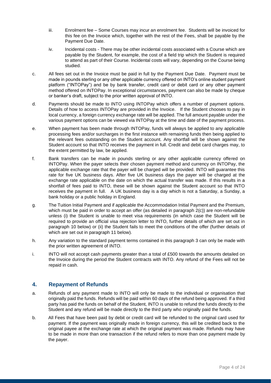- iii. Enrolment fee Some Courses may incur an enrolment fee. Students will be invoiced for this fee on the Invoice which, together with the rest of the Fees, shall be payable by the Payment Due Date.
- iv. Incidental costs There may be other incidental costs associated with a Course which are payable by the Student, for example, the cost of a field trip which the Student is required to attend as part of their Course. Incidental costs will vary, depending on the Course being studied.
- c. All fees set out in the Invoice must be paid in full by the Payment Due Date. Payment must be made in pounds sterling or any other applicable currency offered on INTO's online student payment platform ("INTOPay") and be by bank transfer, credit card or debit card or any other payment method offered on INTOPay. In exceptional circumstances, payment can also be made by cheque or banker's draft, subject to the prior written approval of INTO.
- d. Payments should be made to INTO using INTOPay which offers a number of payment options. Details of how to access INTOPay are provided in the Invoice. If the Student chooses to pay in local currency, a foreign currency exchange rate will be applied. The full amount payable under the various payment options can be viewed via INTOPay at the time and date of the payment process.
- e. When payment has been made through INTOPay, funds will always be applied to any applicable processing fees and/or surcharges in the first instance with remaining funds then being applied to the relevant fees outstanding on the Student account. Any shortfall will be shown against the Student account so that INTO receives the payment in full. Credit and debit card charges may, to the extent permitted by law, be applied.
- f. Bank transfers can be made in pounds sterling or any other applicable currency offered on INTOPay. When the payer selects their chosen payment method and currency on INTOPay, the applicable exchange rate that the payer will be charged will be provided. INTO will guarantee this rate for five UK business days. After five UK business days the payer will be charged at the exchange rate applicable on the date on which the actual transfer was made. If this results in a shortfall of fees paid to INTO, these will be shown against the Student account so that INTO receives the payment in full. A UK business day is a day which is not a Saturday, a Sunday, a bank holiday or a public holiday in England.
- g. The Tuition Initial Payment and if applicable the Accommodation Initial Payment and the Premium, which must be paid in order to accept an offer (as detailed in paragraph 2(c)) are non-refundable unless (i) the Student is unable to meet visa requirements (in which case the Student will be required to provide an official visa rejection letter to INTO, further details of which are set out in paragraph 10 below) or (ii) the Student fails to meet the conditions of the offer (further details of which are set out in paragraph 11 below).
- h. Any variation to the standard payment terms contained in this paragraph 3 can only be made with the prior written agreement of INTO.
- i. INTO will not accept cash payments greater than a total of £500 towards the amounts detailed on the Invoice during the period the Student contracts with INTO. Any refund of the Fees will not be repaid in cash.

# **4. Repayment of Refunds**

- a. Refunds of any payment made to INTO will only be made to the individual or organisation that originally paid the funds. Refunds will be paid within 60 days of the refund being approved. If a third party has paid the funds on behalf of the Student, INTO is unable to refund the funds directly to the Student and any refund will be made directly to the third party who originally paid the funds.
- b. All Fees that have been paid by debit or credit card will be refunded to the original card used for payment. If the payment was originally made in foreign currency, this will be credited back to the original payee at the exchange rate at which the original payment was made. Refunds may have to be made in more than one transaction if the refund refers to more than one payment made by the payer.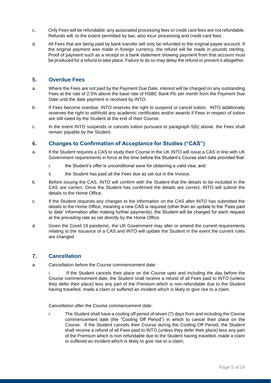- c. Only Fees will be refundable; any associated processing fees or credit card fees are not refundable. Refunds will, to the extent permitted by law, also incur processing and credit card fees.
- d. All Fees that are being paid by bank transfer will only be refunded to the original payee account. If the original payment was made in foreign currency, the refund will be made in pounds sterling. Proof of payment such as a receipt or a bank statement showing payment from that account must be produced for a refund to take place. Failure to do so may delay the refund or prevent it altogether.

#### **5. Overdue Fees**

- a. Where the Fees are not paid by the Payment Due Date, interest will be charged on any outstanding Fees at the rate of 2.5% above the base rate of HSBC Bank Plc per month from the Payment Due Date until the date payment is received by INTO.
- b. If Fees become overdue, INTO reserves the right to suspend or cancel tuition. INTO additionally reserves the right to withhold any academic certificates and/or awards if Fees in respect of tuition are still owed by the Student at the end of their Course.
- c. In the event INTO suspends or cancels tuition pursuant to paragraph 5(b) above, the Fees shall remain payable by the Student.

## **6. Changes to Confirmation of Acceptance for Studies ("CAS")**

- a. If the Student requires a CAS to study their Course in the UK INTO will issue a CAS in line with UK Government requirements in force at the time before the Student's Course start date provided that:
	- i. the Student's offer is unconditional save for obtaining a valid visa; and
	- ii. the Student has paid all the Fees due as set out in the Invoice.
- b. Before issuing the CAS, INTO will confirm with the Student that the details to be included in the CAS are correct. Once the Student has confirmed the details are correct, INTO will submit the details to the Home Office.
- c. If the Student requests any changes to the information on the CAS after INTO has submitted the details to the Home Office, meaning a new CAS is required (other than an update to the 'Fees paid to date' information after making further payments), the Student will be charged for each request at the prevailing rate as set directly by the Home Office.
- d. Given the Covid-19 pandemic, the UK Government may alter or amend the current requirements relating to the issuance of a CAS and INTO will update the Student in the event the current rules are changed.

#### **7. Cancellation**

a. Cancellation before the Course commencement date:

i. If the Student cancels their place on the Course upto and including the day before the Course commencement date, the Student shall receive a refund of all Fees paid to INTO (unless they defer their place) less any part of the Premium which is non-refundable due to the Student having travelled, made a claim or suffered an incident which is likely to give rise to a claim.

Cancellation after the Course commencement date:

i. The Student shall have a cooling off period of seven (7) days from and including the Course commencement date (the "Cooling Off Period") in which to cancel their place on the Course. If the Student cancels their Course during the Cooling Off Period, the Student shall receive a refund of all Fees paid to INTO (unless they defer their place) less any part of the Premium which is non-refundable due to the Student having travelled, made a claim or suffered an incident which is likely to give rise to a claim;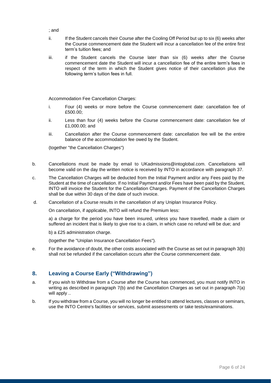- ; and
- ii. If the Student cancels their Course after the Cooling Off Period but up to six (6) weeks after the Course commencement date the Student will incur a cancellation fee of the entire first term's tuition fees; and
- iii. if the Student cancels the Course later than six (6) weeks after the Course commencement date the Student will incur a cancellation fee of the entire term's fees in respect of the term in which the Student gives notice of their cancellation plus the following term's tuition fees in full.

Accommodation Fee Cancellation Charges:

- i. Four (4) weeks or more before the Course commencement date: cancellation fee of £500.00;
- ii. Less than four (4) weeks before the Course commencement date: cancellation fee of £1,000.00; and
- iii. Cancellation after the Course commencement date: cancellation fee will be the entire balance of the accommodation fee owed by the Student.

(together "the Cancellation Charges")

- b. Cancellations must be made by email to UKadmissions@intoglobal.com. Cancellations will become valid on the day the written notice is received by INTO in accordance with paragraph 37.
- c. The Cancellation Charges will be deducted from the Initial Payment and/or any Fees paid by the Student at the time of cancellation. If no Initial Payment and/or Fees have been paid by the Student, INTO will invoice the Student for the Cancellation Charges. Payment of the Cancellation Charges shall be due within 30 days of the date of such invoice.
- d. Cancellation of a Course results in the cancellation of any Uniplan Insurance Policy.

On cancellation, if applicable, INTO will refund the Premium less:

a) a charge for the period you have been insured, unless you have travelled, made a claim or suffered an incident that is likely to give rise to a claim, in which case no refund will be due; and

b) a £25 administration charge.

(together the "Uniplan Insurance Cancellation Fees").

e. For the avoidance of doubt, the other costs associated with the Course as set out in paragraph 3(b) shall not be refunded if the cancellation occurs after the Course commencement date.

# **8. Leaving a Course Early ("Withdrawing")**

- a. If you wish to Withdraw from a Course after the Course has commenced, you must notify INTO in writing as described in paragraph 7(b) and the Cancellation Charges as set out in paragraph 7(a) will apply ..
- b. If you withdraw from a Course, you will no longer be entitled to attend lectures, classes or seminars, use the INTO Centre's facilities or services, submit assessments or take tests/examinations.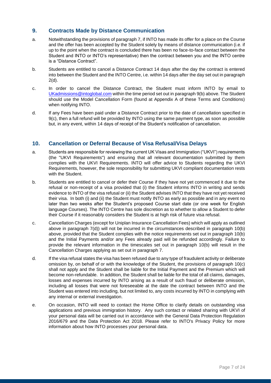## **9. Contracts Made by Distance Communication**

- a. Notwithstanding the provisions of paragraph 7, if INTO has made its offer for a place on the Course and the offer has been accepted by the Student solely by means of distance communication (i.e. if up to the point when the contract is concluded there has been no face-to-face contact between the Student and INTO or INTO's representative) then the contract between you and the INTO centre is a "Distance Contract".
- b. Students are entitled to cancel a Distance Contract 14 days after the day the contract is entered into between the Student and the INTO Centre, i.e. within 14 days after the day set out in paragraph 2(d).
- c. In order to cancel the Distance Contract, the Student must inform INTO by email to [UKadmissions@intoglobal.com](mailto:UKadmissions@intoglobal.com) within the time period set out in paragraph 9(b) above. The Student should use the Model Cancellation Form (found at Appendix A of these Terms and Conditions) when notifying INTO.
- d. If any Fees have been paid under a Distance Contract prior to the date of cancellation specified in 9(c), then a full refund will be provided by INTO using the same payment type, as soon as possible but, in any event, within 14 days of receipt of the Student's notification of cancellation.

## **10. Cancellation or Deferral Because of Visa Refusal/Visa Delays**

- a. Students are responsible for reviewing the current UK Visas and Immigration ("UKVI") requirements (the "UKVI Requirements") and ensuring that all relevant documentation submitted by them complies with the UKVI Requirements. INTO will offer advice to Students regarding the UKVI Requirements, however, the sole responsibility for submitting UKVI compliant documentation rests with the Student.
- b. Students are entitled to cancel or defer their Course if they have not yet commenced it due to the refusal or non-receipt of a visa provided that (i) the Student informs INTO in writing and sends evidence to INTO of the visa refusal or (ii) the Student advises INTO that they have not yet received their visa. In both (i) and (ii) the Student must notify INTO as early as possible and in any event no later than two weeks after the Student's proposed Course start date (or one week for English language Courses). The INTO Centre has sole discretion as to whether to allow a Student to defer their Course if it reasonably considers the Student is at high risk of future visa refusal.
- c. Cancellation Charges (except for Uniplan Insurance Cancellation Fees) which will apply as outlined above in paragraph 7(d)) will not be incurred in the circumstances described in paragraph 10(b) above, provided that the Student complies with the notice requirements set out in paragraph 10(b) and the Initial Payments and/or any Fees already paid will be refunded accordingly. Failure to provide the relevant information in the timescales set out in paragraph 10(b) will result in the Cancellation Charges applying as set out in paragraph 7.
- d. If the visa refusal states the visa has been refused due to any type of fraudulent activity or deliberate omission by, on behalf of or with the knowledge of the Student, the provisions of paragraph 10(c) shall not apply and the Student shall be liable for the Initial Payment and the Premium which will become non-refundable. In addition, the Student shall be liable for the total of all claims, damages, losses and expenses incurred by INTO arising as a result of such fraud or deliberate omission, including all losses that were not foreseeable at the date the contract between INTO and the Student was entered into including, but not limited to, any costs incurred by INTO in complying with any internal or external investigation.
- e. On occasion, INTO will need to contact the Home Office to clarify details on outstanding visa applications and previous immigration history. Any such contact or related sharing with UKVI of your personal data will be carried out in accordance with the General Data Protection Regulation 2016/679 and the Data Protection Act 2018. Please refer to INTO's Privacy Policy for more information about how INTO processes your personal data.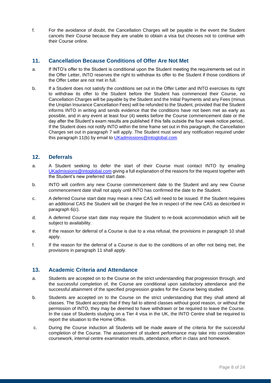f. For the avoidance of doubt, the Cancellation Charges will be payable in the event the Student cancels their Course because they are unable to obtain a visa but chooses not to continue with their Course online.

#### **11. Cancellation Because Conditions of Offer Are Not Met**

- a. If INTO's offer to the Student is conditional upon the Student meeting the requirements set out in the Offer Letter, INTO reserves the right to withdraw its offer to the Student if those conditions of the Offer Letter are not met in full.
- b. If a Student does not satisfy the conditions set out in the Offer Letter and INTO exercises its right to withdraw its offer to the Student before the Student has commenced their Course, no Cancellation Charges will be payable by the Student and the Initial Payments and any Fees (minus the Uniplan Insurance Cancellation Fees) will be refunded to the Student, provided that the Student informs INTO in writing and sends evidence that the conditions have not been met as early as possible, and in any event at least four (4) weeks before the Course commencement date or the day after the Student's exam results are published if this falls outside the four week notice period,. If the Student does not notify INTO within the time frame set out in this paragraph, the Cancellation Charges set out in paragraph 7 will apply. The Student must send any notification required under this paragraph 11(b) by email to [UKadmissions@intoglobal.com](mailto:UKadmissions@intoglobal.com)

## **12. Deferrals**

- a. A Student seeking to defer the start of their Course must contact INTO by emailing [UKadmissions@intoglobal.com](mailto:UKadmissions@intoglobal.com) giving a full explanation of the reasons for the request together with the Student's new preferred start date.
- b. INTO will confirm any new Course commencement date to the Student and any new Course commencement date shall not apply until INTO has confirmed the date to the Student.
- c. A deferred Course start date may mean a new CAS will need to be issued. If the Student requires an additional CAS the Student will be charged the fee in respect of the new CAS as described in paragraph 6(c).
- d. A deferred Course start date may require the Student to re-book accommodation which will be subject to availability.
- e. If the reason for deferral of a Course is due to a visa refusal, the provisions in paragraph 10 shall apply.
- f. If the reason for the deferral of a Course is due to the conditions of an offer not being met, the provisions in paragraph 11 shall apply.

#### **13. Academic Criteria and Attendance**

- a. Students are accepted on to the Course on the strict understanding that progression through, and the successful completion of, the Course are conditional upon satisfactory attendance and the successful attainment of the specified progression grades for the Course being studied.
- b. Students are accepted on to the Course on the strict understanding that they shall attend all classes. The Student accepts that if they fail to attend classes without good reason, or without the permission of INTO, they may be deemed to have withdrawn or be required to leave the Course. In the case of Students studying on a Tier 4 visa in the UK, the INTO Centre shall be required to report the situation to the Home Office.
- c. During the Course induction all Students will be made aware of the criteria for the successful completion of the Course. The assessment of student performance may take into consideration coursework, internal centre examination results, attendance, effort in class and homework.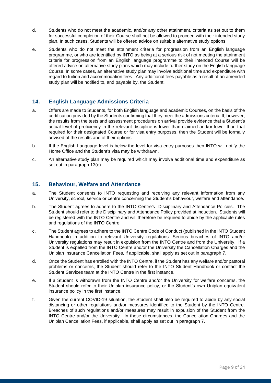- d. Students who do not meet the academic, and/or any other attainment, criteria as set out to them for successful completion of their Course shall not be allowed to proceed with their intended study plan. In such cases, Students will be offered advice on suitable alternative study options.
- e. Students who do not meet the attainment criteria for progression from an English language programme, or who are identified by INTO as being at a serious risk of not meeting the attainment criteria for progression from an English language programme to their intended Course will be offered advice on alternative study plans which may include further study on the English language Course. In some cases, an alternative study plan may involve additional time and expenditure with regard to tuition and accommodation fees. Any additional fees payable as a result of an amended study plan will be notified to, and payable by, the Student.

# **14. English Language Admissions Criteria**

- a. Offers are made to Students, for both English language and academic Courses, on the basis of the certification provided by the Students confirming that they meet the admissions criteria. If, however, the results from the tests and assessment procedures on arrival provide evidence that a Student's actual level of proficiency in the relevant discipline is lower than claimed and/or lower than that required for their designated Course or for visa entry purposes, then the Student will be formally advised of the results and of their options.
- b. If the English Language level is below the level for visa entry purposes then INTO will notify the Home Office and the Student's visa may be withdrawn.
- c. An alternative study plan may be required which may involve additional time and expenditure as set out in paragraph 13(e).

#### **15. Behaviour, Welfare and Attendance**

- a. The Student consents to INTO requesting and receiving any relevant information from any University, school, service or centre concerning the Student's behaviour, welfare and attendance.
- b. The Student agrees to adhere to the INTO Centre's Disciplinary and Attendance Policies. The Student should refer to the Disciplinary and Attendance Policy provided at induction. Students will be registered with the INTO Centre and will therefore be required to abide by the applicable rules and regulations of the INTO Centre.
- c. The Student agrees to adhere to the INTO Centre Code of Conduct (published in the INTO Student Handbook) in addition to relevant University regulations. Serious breaches of INTO and/or University regulations may result in expulsion from the INTO Centre and from the University. If a Student is expelled from the INTO Centre and/or the University the Cancellation Charges and the Uniplan Insurance Cancellation Fees, if applicable, shall apply as set out in paragraph 7.
- d. Once the Student has enrolled with the INTO Centre, if the Student has any welfare and/or pastoral problems or concerns, the Student should refer to the INTO Student Handbook or contact the Student Services team at the INTO Centre in the first instance.
- e. If a Student is withdrawn from the INTO Centre and/or the University for welfare concerns, the Student should refer to their Uniplan insurance policy, or the Student's own Uniplan equivalent insurance policy in the first instance.
- f. Given the current COVID-19 situation, the Student shall also be required to abide by any social distancing or other regulations and/or measures identified to the Student by the INTO Centre. Breaches of such regulations and/or measures may result in expulsion of the Student from the INTO Centre and/or the University. In these circumstances, the Cancellation Charges and the Uniplan Cancellation Fees, if applicable, shall apply as set out in paragraph 7.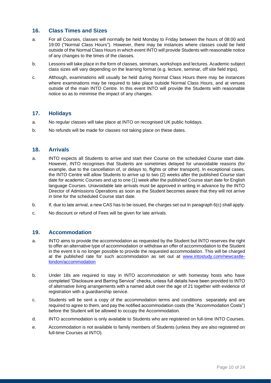## **16. Class Times and Sizes**

- a. For all Courses, classes will normally be held Monday to Friday between the hours of 08:00 and 19:00 ("Normal Class Hours"). However, there may be instances where classes could be held outside of the Normal Class Hours in which event INTO will provide Students with reasonable notice of any changes to the times of the classes.
- b. Lessons will take place in the form of classes, seminars, workshops and lectures. Academic subject class sizes will vary depending on the learning format (e.g. lecture, seminar, off site field trips).
- c. Although, examinations will usually be held during Normal Class Hours there may be instances where examinations may be required to take place outside Normal Class Hours, and at venues outside of the main INTO Centre. In this event INTO will provide the Students with reasonable notice so as to minimise the impact of any changes.

#### **17. Holidays**

- a. No regular classes will take place at INTO on recognised UK public holidays.
- b. No refunds will be made for classes not taking place on these dates.

#### **18. Arrivals**

- a. INTO expects all Students to arrive and start their Course on the scheduled Course start date. However, INTO recognises that Students are sometimes delayed for unavoidable reasons (for example, due to the cancellation of, or delays to, flights or other transport). In exceptional cases, the INTO Centre will allow Students to arrive up to two (2) weeks after the published Course start date for academic Courses and up to one (1) week after the published Course start date for English language Courses. Unavoidable late arrivals must be approved in writing in advance by the INTO Director of Admissions Operations as soon as the Student becomes aware that they will not arrive in time for the scheduled Course start date.
- b. If, due to late arrival, a new CAS has to be issued, the charges set out in paragraph 6(c) shall apply.
- c. No discount or refund of Fees will be given for late arrivals.

#### **19. Accommodation**

- a. INTO aims to provide the accommodation as requested by the Student but INTO reserves the right to offer an alternative type of accommodation or withdraw an offer of accommodation to the Student in the event it is no longer possible to provide the requested accommodation. This will be charged at the published rate for such accommodation as set out at [www.intostudy.com/newcastle](http://www.intostudy.com/newcastle-london/accommodation)[london/accommodation](http://www.intostudy.com/newcastle-london/accommodation)
- b. Under 18s are required to stay in INTO accommodation or with homestay hosts who have completed "Disclosure and Barring Service" checks, unless full details have been provided to INTO of alternative living arrangements with a named adult over the age of 21 together with evidence of registration with a guardianship service.
- c. Students will be sent a copy of the accommodation terms and conditions separately and are required to agree to them, and pay the notified accommodation costs (the "Accommodation Costs") before the Student will be allowed to occupy the Accommodation.
- d. INTO accommodation is only available to Students who are registered on full-time INTO Courses.
- e. Accommodation is not available to family members of Students (unless they are also registered on full-time Courses at INTO).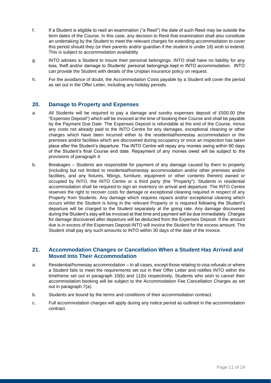- f. If a Student is eligible to resit an examination ("a Resit") the date of such Resit may be outside the term dates of the Course. In this case, any decision to Resit that examination shall also constitute an undertaking by the Student to meet the relevant charges for extending accommodation to cover this period should they (or their parents and/or guardian if the student is under 18) wish to extend. This is subject to accommodation availability.
- g. INTO advises a Student to insure their personal belongings. INTO shall have no liability for any loss, theft and/or damage to Students' personal belongings kept in INTO accommodation. INTO can provide the Student with details of the Uniplan insurance policy on request.
- h. For the avoidance of doubt, the Accommodation Costs payable by a Student will cover the period as set out in the Offer Letter, including any holiday periods.

#### **20. Damage to Property and Expenses**

- a. All Students will be required to pay a damage and sundry expenses deposit of £500.00 (the "Expenses Deposit") which will be invoiced at the time of booking their Course and shall be payable by the Payment Due Date. The Expenses Deposit is refundable at the end of the Course, minus any costs not already paid to the INTO Centre for any damages, exceptional cleaning or other charges which have been incurred either to the residential/homestay accommodation or the premises and/or facilities which are discovered during occupancy or once an inspection has taken place after the Student's departure. The INTO Centre will repay any monies owing within 60 days of the Student's final Course end date. Repayment of any monies owed will be subject to the provisions of paragraph 4.
- b. Breakages Students are responsible for payment of any damage caused by them to property (including but not limited to residential/homestay accommodation and/or other premises and/or facilities, and any fixtures, fittings, furniture, equipment or other contents therein) owned or occupied by INTO, the INTO Centre or a third party (the "Property"). Students in residential accommodation shall be required to sign an inventory on arrival and departure. The INTO Centre reserves the right to recover costs for damage or exceptional cleaning required in respect of any Property from Students. Any damage which requires repairs and/or exceptional cleaning which occurs whilst the Student is living in the relevant Property or is required following the Student's departure will be charged to the Student separately at the going rate. Any damage discovered during the Student's stay will be invoiced at that time and payment will be due immediately. Charges for damage discovered after departure will be deducted from the Expenses Deposit. If the amount due is in excess of the Expenses Deposit INTO will invoice the Student for the excess amount. The Student shall pay any such amounts to INTO within 30 days of the date of the invoice.

## **21. Accommodation Changes or Cancellation When a Student Has Arrived and Moved Into Their Accommodation**

- a. Residential/homestay accommodation In all cases, except those relating to visa refusals or where a Student fails to meet the requirements set out in their Offer Letter and notifies INTO within the timeframe set out in paragraph 10(b) and 11(b) respectively, Students who wish to cancel their accommodation booking will be subject to the Accommodation Fee Cancellation Charges as set out in paragraph 7(a).
- b. Students are bound by the terms and conditions of their accommodation contract.
- c. Full accommodation charges will apply during any notice period as outlined in the accommodation contract.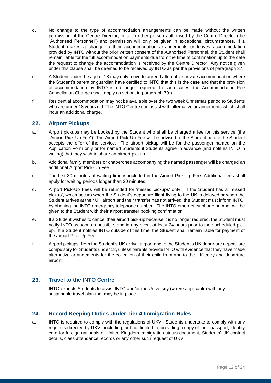- d. No change to the type of accommodation arrangements can be made without the written permission of the Centre Director, or such other person authorised by the Centre Director (the "Authorised Personnel") and permission will only be given in exceptional circumstances. If a Student makes a change to their accommodation arrangements or leaves accommodation provided by INTO without the prior written consent of the Authorised Personnel, the Student shall remain liable for the full accommodation payments due from the time of confirmation up to the date the request to change the accommodation is received by the Centre Director Any notice given under this clause shall be deemed to be received by INTO as per the provisions of paragraph 37.
- e. A Student under the age of 18 may only move to agreed alternative private accommodation where the Student's parent or guardian have certified to INTO that this is the case and that the provision of accommodation by INTO is no longer required. In such cases, the Accommodation Fee Cancellation Charges shall apply as set out in paragraph 7(a).
- f. Residential accommodation may not be available over the two week Christmas period to Students who are under 18 years old. The INTO Centre can assist with alternative arrangements which shall incur an additional charge.

## **22. Airport Pickups**

- a. Airport pickups may be booked by the Student who shall be charged a fee for this service (the "Airport Pick-Up Fee"). The Airport Pick-Up-Fee will be advised to the Student before the Student accepts the offer of the service. The airport pickup will be for the passenger named on the Application Form only or for named Students if Students agree in advance (and notifies INTO in writing) that they wish to share an airport pickup.
- b. Additional family members or chaperones accompanying the named passenger will be charged an additional Airport Pick-Up Fee.
- c. The first 30 minutes of waiting time is included in the Airport Pick-Up Fee. Additional fees shall apply for waiting periods longer than 30 minutes.
- d. Airport Pick-Up Fees will be refunded for 'missed pickups' only. If the Student has a 'missed pickup', which occurs when the Student's departure flight flying to the UK is delayed or when the Student arrives at their UK airport and their transfer has not arrived, the Student must inform INTO, by phoning the INTO emergency telephone number. The INTO emergency phone number will be given to the Student with their airport transfer booking confirmation.
- e. If a Student wishes to cancel their airport pick-up because it is no longer required, the Student must notify INTO as soon as possible, and in any event at least 24 hours prior to their scheduled pick up. If a Student notifies INTO outside of this time, the Student shall remain liable for payment of the airport Pick-Up Fee.
- f. Airport pickups, from the Student's UK arrival airport and to the Student's UK departure airport, are compulsory for Students under 18, unless parents provide INTO with evidence that they have made alternative arrangements for the collection of their child from and to the UK entry and departure airport.

# **23. Travel to the INTO Centre**

INTO expects Students to assist INTO and/or the University (where applicable) with any sustainable travel plan that may be in place.

# **24. Record Keeping Duties Under Tier 4 Immigration Rules**

a. INTO is required to comply with the regulations of UKVI. Students undertake to comply with any requests directed by UKVI, including, but not limited to, providing a copy of their passport, identity card for foreign nationals or United Kingdom immigration status document, Students' UK contact details, class attendance records or any other such request of UKVI.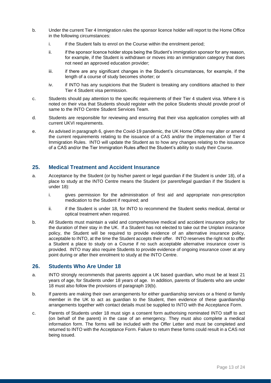- b. Under the current Tier 4 Immigration rules the sponsor licence holder will report to the Home Office in the following circumstances:
	- i. if the Student fails to enrol on the Course within the enrolment period;
	- ii. if the sponsor licence holder stops being the Student's immigration sponsor for any reason, for example, if the Student is withdrawn or moves into an immigration category that does not need an approved education provider;
	- iii. if there are any significant changes in the Student's circumstances, for example, if the length of a course of study becomes shorter; or
	- iv. if INTO has any suspicions that the Student is breaking any conditions attached to their Tier 4 Student visa permission.
- c. Students should pay attention to the specific requirements of their Tier 4 student visa. Where it is noted on their visa that Students should register with the police Students should provide proof of same to the INTO Centre Student Services Team.
- d. Students are responsible for reviewing and ensuring that their visa application complies with all current UKVI requirements.
- e. As advised in paragraph 6, given the Covid-19 pandemic, the UK Home Office may alter or amend the current requirements relating to the issuance of a CAS and/or the implementation of Tier 4 Immigration Rules. INTO will update the Student as to how any changes relating to the issuance of a CAS and/or the Tier Immigration Rules affect the Student's ability to study their Course.

## **25. Medical Treatment and Accident Insurance**

- a. Acceptance by the Student (or by his/her parent or legal guardian if the Student is under 18), of a place to study at the INTO Centre means the Student (or parent/legal guardian if the Student is under 18):
	- i. gives permission for the administration of first aid and appropriate non-prescription medication to the Student if required; and
	- ii. if the Student is under 18, for INTO to recommend the Student seeks medical, dental or optical treatment when required.
- b. All Students must maintain a valid and comprehensive medical and accident insurance policy for the duration of their stay in the UK. If a Student has not elected to take out the Uniplan insurance policy, the Student will be required to provide evidence of an alternative insurance policy, acceptable to INTO, at the time the Student accepts their offer. INTO reserves the right not to offer a Student a place to study on a Course if no such acceptable alternative insurance cover is provided. INTO may also require Students to provide evidence of ongoing insurance cover at any point during or after their enrolment to study at the INTO Centre.

#### **26. Students Who Are Under 18**

- a. INTO strongly recommends that parents appoint a UK based guardian, who must be at least 21 years of age, for Students under 18 years of age. In addition, parents of Students who are under 18 must also follow the provisions of paragraph 19(b).
- b. If parents are making their own arrangements for either guardianship services or a friend or family member in the UK to act as guardian to the Student, then evidence of these guardianship arrangements together with contact details must be supplied to INTO with the Acceptance Form.
- c. Parents of Students under 18 must sign a consent form authorising nominated INTO staff to act (on behalf of the parent) in the case of an emergency. They must also complete a medical information form. The forms will be included with the Offer Letter and must be completed and returned to INTO with the Acceptance Form. Failure to return these forms could result in a CAS not being issued.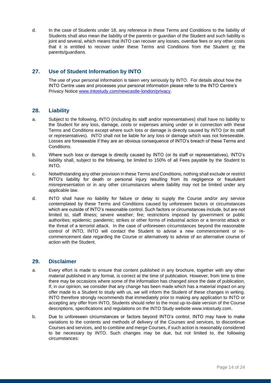d. In the case of Students under 18, any reference in these Terms and Conditions to the liability of Students shall also mean the liability of the parents or guardian of the Student and such liability is joint and several, which means that INTO can recover any losses, overdue fees or any other costs that it is entitled to recover under these Terms and Conditions from the Student or the parents/guardians.

# **27. Use of Student Information by INTO**

The use of your personal information is taken very seriously by INTO. For details about how the INTO Centre uses and processes your personal information please refer to the INTO Centre's Privacy Notice [www.intostudy.com/newcastle-london/privacy.](http://www.intostudy.com/newcastle-london/privacy)

#### **28. Liability**

- a. Subject to the following, INTO (including its staff and/or representatives) shall have no liability to the Student for any loss, damage, costs or expenses arising under or in connection with these Terms and Conditions except where such loss or damage is directly caused by INTO (or its staff or representatives). INTO shall not be liable for any loss or damage which was not foreseeable. Losses are foreseeable if they are an obvious consequence of INTO's breach of these Terms and Conditions.
- b. Where such loss or damage is directly caused by INTO (or its staff or representatives), INTO's liability shall, subject to the following, be limited to 150% of all Fees payable by the Student to INTO.
- c. Notwithstanding any other provision in these Terms and Conditions, nothing shall exclude or restrict INTO's liability for death or personal injury resulting from its negligence or fraudulent misrepresentation or in any other circumstances where liability may not be limited under any applicable law.
- d. INTO shall have no liability for failure or delay to supply the Course and/or any service contemplated by these Terms and Conditions caused by unforeseen factors or circumstances which are outside of INTO's reasonable control. Such factors or circumstances include, but are not limited to, staff illness; severe weather; fire; restrictions imposed by government or public authorities; epidemic; pandemic; strikes or other forms of industrial action or a terrorist attack or the threat of a terrorist attack. In the case of unforeseen circumstances beyond the reasonable control of INTO, INTO will contact the Student to advise a new commencement or recommencement date regarding the Course or alternatively to advise of an alternative course of action with the Student.

#### **29. Disclaimer**

- a. Every effort is made to ensure that content published in any brochure, together with any other material published in any format, is correct at the time of publication. However, from time to time there may be occasions where some of the information has changed since the date of publication. If, in our opinion, we consider that any change has been made which has a material impact on any offer made to a Student to study with us, we will inform the Student of these changes in writing. INTO therefore strongly recommends that immediately prior to making any application to INTO or accepting any offer from INTO, Students should refer to the most up-to-date version of the Course descriptions, specifications and regulations on the INTO Study website www.intostudy.com.
- b. Due to unforeseen circumstances or factors beyond INTO's control, INTO may have to make variations to the contents and methods of delivery of the Courses and services, to discontinue Courses and services, and to combine and merge Courses, if such action is reasonably considered to be necessary by INTO. Such changes may be due, but not limited to, the following circumstances: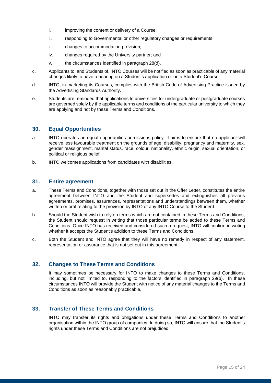- i. improving the content or delivery of a Course;
- ii. responding to Governmental or other regulatory changes or requirements;
- iii. changes to accommodation provision;
- iv. changes required by the University partner; and
- v. the circumstances identified in paragraph 28(d).
- c. Applicants to, and Students of, INTO Courses will be notified as soon as practicable of any material changes likely to have a bearing on a Student's application or on a Student's Course.
- d. INTO, in marketing its Courses, complies with the British Code of Advertising Practice issued by the Advertising Standards Authority.
- e. Students are reminded that applications to universities for undergraduate or postgraduate courses are governed solely by the applicable terms and conditions of the particular university to which they are applying and not by these Terms and Conditions.

## **30. Equal Opportunities**

- a. INTO operates an equal opportunities admissions policy. It aims to ensure that no applicant will receive less favourable treatment on the grounds of age, disability, pregnancy and maternity, sex, gender reassignment, marital status, race, colour, nationality, ethnic origin, sexual orientation, or political or religious belief.
- b. INTO welcomes applications from candidates with disabilities.

#### **31. Entire agreement**

- a. These Terms and Conditions, together with those set out in the Offer Letter, constitutes the entire agreement between INTO and the Student and supersedes and extinguishes all previous agreements, promises, assurances, representations and understandings between them, whether written or oral relating to the provision by INTO of any INTO Course to the Student.
- b. Should the Student wish to rely on terms which are not contained in these Terms and Conditions, the Student should request in writing that those particular terms be added to these Terms and Conditions. Once INTO has received and considered such a request, INTO will confirm in writing whether it accepts the Student's addition to these Terms and Conditions.
- c. Both the Student and INTO agree that they will have no remedy in respect of any statement, representation or assurance that is not set out in this agreement.

#### **32. Changes to These Terms and Conditions**

It may sometimes be necessary for INTO to make changes to these Terms and Conditions, including, but not limited to, responding to the factors identified in paragraph 29(b). In these circumstances INTO will provide the Student with notice of any material changes to the Terms and Conditions as soon as reasonably practicable.

# **33. Transfer of These Terms and Conditions**

INTO may transfer its rights and obligations under these Terms and Conditions to another organisation within the INTO group of companies. In doing so, INTO will ensure that the Student's rights under these Terms and Conditions are not prejudiced.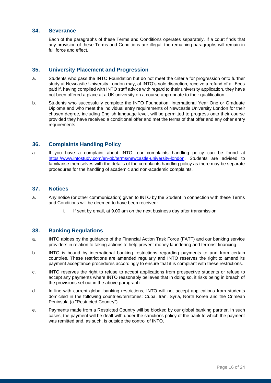#### **34. Severance**

Each of the paragraphs of these Terms and Conditions operates separately. If a court finds that any provision of these Terms and Conditions are illegal, the remaining paragraphs will remain in full force and effect.

#### **35. University Placement and Progression**

- a. Students who pass the INTO Foundation but do not meet the criteria for progression onto further study at Newcastle University London may, at INTO's sole discretion, receive a refund of all Fees paid if, having complied with INTO staff advice with regard to their university application, they have not been offered a place at a UK university on a course appropriate to their qualification.
- b. Students who successfully complete the INTO Foundation, International Year One or Graduate Diploma and who meet the individual entry requirements of Newcastle University London for their chosen degree, including English language level, will be permitted to progress onto their course provided they have received a conditional offer and met the terms of that offer and any other entry requirements.

#### **36. Complaints Handling Policy**

a. If you have a complaint about INTO, our complaints handling policy can be found at [https://www.intostudy.com/en-gb/terms/newcastle-university-london.](https://www.intostudy.com/en-gb/terms/newcastle-university-london) Students are advised to familiarise themselves with the details of the complaints handling policy as there may be separate procedures for the handling of academic and non-academic complaints.

#### **37. Notices**

- a. Any notice (or other communication) given to INTO by the Student in connection with these Terms and Conditions will be deemed to have been received:
	- i. If sent by email, at 9.00 am on the next business day after transmission.

#### **38. Banking Regulations**

- a. INTO abides by the guidance of the Financial Action Task Force (FATF) and our banking service providers in relation to taking actions to help prevent money laundering and terrorist financing.
- b. INTO is bound by international banking restrictions regarding payments to and from certain countries. These restrictions are amended regularly and INTO reserves the right to amend its payment acceptance procedures accordingly to ensure that it is compliant with these restrictions.
- c. INTO reserves the right to refuse to accept applications from prospective students or refuse to accept any payments where INTO reasonably believes that in doing so, it risks being in breach of the provisions set out in the above paragraph.
- d. In line with current global banking restrictions, INTO will not accept applications from students domiciled in the following countries/territories: Cuba, Iran, Syria, North Korea and the Crimean Peninsula (a "Restricted Country").
- e. Payments made from a Restricted Country will be blocked by our global banking partner. In such cases, the payment will be dealt with under the sanctions policy of the bank to which the payment was remitted and, as such, is outside the control of INTO.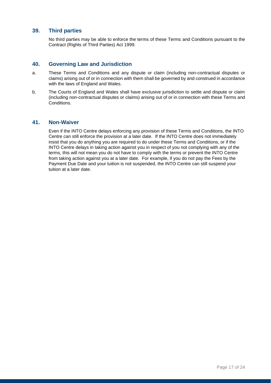#### **39. Third parties**

No third parties may be able to enforce the terms of these Terms and Conditions pursuant to the Contract (Rights of Third Parties) Act 1999.

#### **40. Governing Law and Jurisdiction**

- a. These Terms and Conditions and any dispute or claim (including non-contractual disputes or claims) arising out of or in connection with them shall be governed by and construed in accordance with the laws of England and Wales.
- b. The Courts of England and Wales shall have exclusive jurisdiction to settle and dispute or claim (including non-contractual disputes or claims) arising out of or in connection with these Terms and Conditions.

#### **41. Non-Waiver**

Even if the INTO Centre delays enforcing any provision of these Terms and Conditions, the INTO Centre can still enforce the provision at a later date. If the INTO Centre does not immediately insist that you do anything you are required to do under these Terms and Conditions, or if the INTO Centre delays in taking action against you in respect of you not complying with any of the terms, this will not mean you do not have to comply with the terms or prevent the INTO Centre from taking action against you at a later date. For example, if you do not pay the Fees by the Payment Due Date and your tuition is not suspended, the INTO Centre can still suspend your tuition at a later date.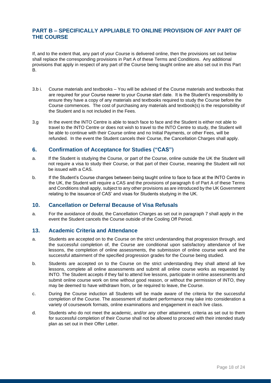# **PART B – SPECIFICALLY APPLIABLE TO ONLINE PROVISION OF ANY PART OF THE COURSE**

If, and to the extent that, any part of your Course is delivered online, then the provisions set out below shall replace the corresponding provisions in Part A of these Terms and Conditions. Any additional provisions that apply in respect of any part of the Course being taught online are also set out in this Part B.

- 3.b i. Course materials and textbooks You will be advised of the Course materials and textbooks that are required for your Course nearer to your Course start date. It is the Student's responsibility to ensure they have a copy of any materials and textbooks required to study the Course before the Course commences. The cost of purchasing any materials and textbook(s) is the responsibility of the Student and is not included in the Fees.
- 3.g In the event the INTO Centre is able to teach face to face and the Student is either not able to travel to the INTO Centre or does not wish to travel to the INTO Centre to study, the Student will be able to continue with their Course online and no Initial Payments, or other Fees, will be refunded. In the event the Student cancels their Course, the Cancellation Charges shall apply.

## **6. Confirmation of Acceptance for Studies ("CAS")**

- a. If the Student is studying the Course, or part of the Course, online outside the UK the Student will not require a visa to study their Course, or that part of their Course, meaning the Student will not be issued with a CAS.
- b. If the Student's Course changes between being taught online to face to face at the INTO Centre in the UK, the Student will require a CAS and the provisions of paragraph 6 of Part A of these Terms and Conditions shall apply, subject to any other provisions as are introduced by the UK Government relating to the issuance of CAS' and visas for Students studying in the UK.

#### **10. Cancellation or Deferral Because of Visa Refusals**

a. For the avoidance of doubt, the Cancellation Charges as set out in paragraph 7 shall apply in the event the Student cancels the Course outside of the Cooling Off Period.

#### **13. Academic Criteria and Attendance**

- a. Students are accepted on to the Course on the strict understanding that progression through, and the successful completion of, the Course are conditional upon satisfactory attendance of live lessons, the completion of online assessments, the submission of online course work and the successful attainment of the specified progression grades for the Course being studied.
- b. Students are accepted on to the Course on the strict understanding they shall attend all live lessons, complete all online assessments and submit all online course works as requested by INTO. The Student accepts if they fail to attend live lessons, participate in online assessments and submit online course work on time without good reason, or without the permission of INTO, they may be deemed to have withdrawn from, or be required to leave, the Course.
- c. During the Course induction all Students will be made aware of the criteria for the successful completion of the Course. The assessment of student performance may take into consideration a variety of coursework formats, online examinations and engagement in each live class.
- d. Students who do not meet the academic, and/or any other attainment, criteria as set out to them for successful completion of their Course shall not be allowed to proceed with their intended study plan as set out in their Offer Letter.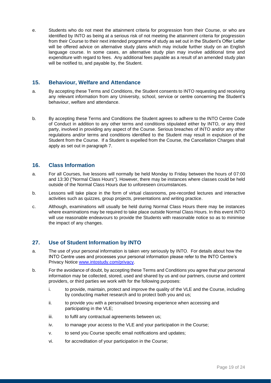e. Students who do not meet the attainment criteria for progression from their Course, or who are identified by INTO as being at a serious risk of not meeting the attainment criteria for progression from their Course to their next intended programme of study as set out in the Student's Offer Letter will be offered advice on alternative study plans which may include further study on an English language course. In some cases, an alternative study plan may involve additional time and expenditure with regard to fees. Any additional fees payable as a result of an amended study plan will be notified to, and payable by, the Student.

#### **15. Behaviour, Welfare and Attendance**

- a. By accepting these Terms and Conditions, the Student consents to INTO requesting and receiving any relevant information from any University, school, service or centre concerning the Student's behaviour, welfare and attendance.
- b. By accepting these Terms and Conditions the Student agrees to adhere to the INTO Centre Code of Conduct in addition to any other terms and conditions stipulated either by INTO, or any third party, involved in providing any aspect of the Course. Serious breaches of INTO and/or any other regulations and/or terms and conditions identified to the Student may result in expulsion of the Student from the Course. If a Student is expelled from the Course, the Cancellation Charges shall apply as set out in paragraph 7.

#### **16. Class Information**

- a. For all Courses, live lessons will normally be held Monday to Friday between the hours of 07:00 and 13:30 ("Normal Class Hours"). However, there may be instances where classes could be held outside of the Normal Class Hours due to unforeseen circumstances.
- b. Lessons will take place in the form of virtual classrooms, pre-recorded lectures and interactive activities such as quizzes, group projects, presentations and writing practice.
- c. Although, examinations will usually be held during Normal Class Hours there may be instances where examinations may be required to take place outside Normal Class Hours. In this event INTO will use reasonable endeavours to provide the Students with reasonable notice so as to minimise the impact of any changes.

# **27. Use of Student Information by INTO**

- a. The use of your personal information is taken very seriously by INTO. For details about how the INTO Centre uses and processes your personal information please refer to the INTO Centre's Privacy Notice [www.intostudy.com/privacy.](http://www.intostudy.com/privacy)
- b. For the avoidance of doubt, by accepting these Terms and Conditions you agree that your personal information may be collected, stored, used and shared by us and our partners, course and content providers, or third parties we work with for the following purposes:
	- i. to provide, maintain, protect and improve the quality of the VLE and the Course, including by conducting market research and to protect both you and us;
	- ii. to provide you with a personalised browsing experience when accessing and participating in the VLE;
	- iii. to fulfil any contractual agreements between us;
	- iv. to manage your access to the VLE and your participation in the Course;
	- v. to send you Course specific email notifications and updates;
	- vi. for accreditation of your participation in the Course;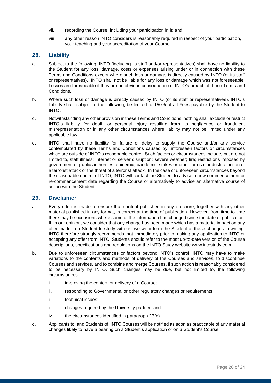- vii. recording the Course, including your participation in it; and
- viii any other reason INTO considers is reasonably required in respect of your participation, your teaching and your accreditation of your Course.

#### **28. Liability**

- a. Subject to the following, INTO (including its staff and/or representatives) shall have no liability to the Student for any loss, damage, costs or expenses arising under or in connection with these Terms and Conditions except where such loss or damage is directly caused by INTO (or its staff or representatives). INTO shall not be liable for any loss or damage which was not foreseeable. Losses are foreseeable if they are an obvious consequence of INTO's breach of these Terms and Conditions.
- b. Where such loss or damage is directly caused by INTO (or its staff or representatives), INTO's liability shall, subject to the following, be limited to 150% of all Fees payable by the Student to INTO.
- c. Notwithstanding any other provision in these Terms and Conditions, nothing shall exclude or restrict INTO's liability for death or personal injury resulting from its negligence or fraudulent misrepresentation or in any other circumstances where liability may not be limited under any applicable law.
- d. INTO shall have no liability for failure or delay to supply the Course and/or any service contemplated by these Terms and Conditions caused by unforeseen factors or circumstances which are outside of INTO's reasonable control. Such factors or circumstances include, but are not limited to, staff illness; internet or server disruption; severe weather; fire; restrictions imposed by government or public authorities; epidemic; pandemic; strikes or other forms of industrial action or a terrorist attack or the threat of a terrorist attack. In the case of unforeseen circumstances beyond the reasonable control of INTO, INTO will contact the Student to advise a new commencement or re-commencement date regarding the Course or alternatively to advise an alternative course of action with the Student.

#### **29. Disclaimer**

- a. Every effort is made to ensure that content published in any brochure, together with any other material published in any format, is correct at the time of publication. However, from time to time there may be occasions where some of the information has changed since the date of publication. If, in our opinion, we consider that any change has been made which has a material impact on any offer made to a Student to study with us, we will inform the Student of these changes in writing. INTO therefore strongly recommends that immediately prior to making any application to INTO or accepting any offer from INTO, Students should refer to the most up-to-date version of the Course descriptions, specifications and regulations on the INTO Study website www.intostudy.com.
- b. Due to unforeseen circumstances or factors beyond INTO's control, INTO may have to make variations to the contents and methods of delivery of the Courses and services, to discontinue Courses and services, and to combine and merge Courses, if such action is reasonably considered to be necessary by INTO. Such changes may be due, but not limited to, the following circumstances:
	- i. improving the content or delivery of a Course;
	- ii. responding to Governmental or other regulatory changes or requirements;
	- iii. technical issues;
	- iii. changes required by the University partner; and
	- iv. the circumstances identified in paragraph 23(d).
- c. Applicants to, and Students of, INTO Courses will be notified as soon as practicable of any material changes likely to have a bearing on a Student's application or on a Student's Course.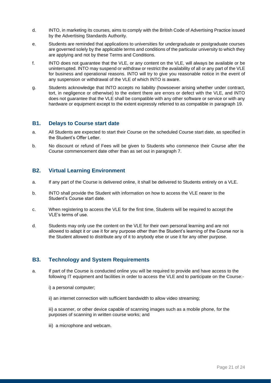- d. INTO, in marketing its courses, aims to comply with the British Code of Advertising Practice issued by the Advertising Standards Authority.
- e. Students are reminded that applications to universities for undergraduate or postgraduate courses are governed solely by the applicable terms and conditions of the particular university to which they are applying and not by these Terms and Conditions.
- f. INTO does not guarantee that the VLE, or any content on the VLE, will always be available or be uninterrupted. INTO may suspend or withdraw or restrict the availability of all or any part of the VLE for business and operational reasons. INTO will try to give you reasonable notice in the event of any suspension or withdrawal of the VLE of which INTO is aware.
- g. Students acknowledge that INTO accepts no liability (howsoever arising whether under contract, tort, in negligence or otherwise) to the extent there are errors or defect with the VLE, and INTO does not guarantee that the VLE shall be compatible with any other software or service or with any hardware or equipment except to the extent expressly referred to as compatible in paragraph 19.

#### **B1. Delays to Course start date**

- a. All Students are expected to start their Course on the scheduled Course start date, as specified in the Student's Offer Letter.
- b. No discount or refund of Fees will be given to Students who commence their Course after the Course commencement date other than as set out in paragraph 7.

#### **B2. Virtual Learning Environment**

- a. If any part of the Course is delivered online, it shall be delivered to Students entirely on a VLE.
- b. INTO shall provide the Student with information on how to access the VLE nearer to the Student's Course start date.
- c. When registering to access the VLE for the first time, Students will be required to accept the VLE's terms of use.
- d. Students may only use the content on the VLE for their own personal learning and are not allowed to adapt it or use it for any purpose other than the Student's learning of the Course nor is the Student allowed to distribute any of it to anybody else or use it for any other purpose.

#### **B3. Technology and System Requirements**

- a. If part of the Course is conducted online you will be required to provide and have access to the following IT equipment and facilities in order to access the VLE and to participate on the Course:
	- i) a personal computer;
	- ii) an internet connection with sufficient bandwidth to allow video streaming;

iii) a scanner, or other device capable of scanning images such as a mobile phone, for the purposes of scanning in written course works; and

iii) a microphone and webcam.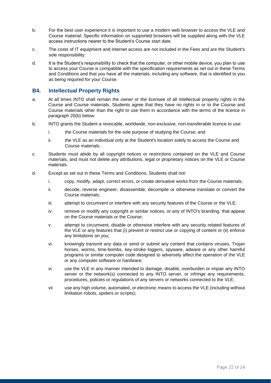- b. For the best user experience it is important to use a modern web browser to access the VLE and Course material. Specific information on supported browsers will be supplied along with the VLE access instructions nearer to the Student's Course start date.
- c. The costs of IT equipment and internet access are not included in the Fees and are the Student's sole responsibility.
- d. It is the Student's responsibility to check that the computer, or other mobile device, you plan to use to access your Course is compatible with the specification requirements as set out in these Terms and Conditions and that you have all the materials, including any software, that is identified to you as being required for your Course.

#### **B4. Intellectual Property Rights**

- a. At all times INTO shall remain the owner or the licensee of all intellectual property rights in the Course and Course materials. Students agree that they have no rights in or to the Course and Course materials other than the right to use them in accordance with the terms of the licence in paragraph 20(b) below.
- b. INTO grants the Student a revocable, worldwide, non-exclusive, non-transferable licence to use:
	- i. the Course materials for the sole purpose of studying the Course; and
	- ii. the VLE as an individual only at the Student's location solely to access the Course and Course materials.
- c. Students must abide by all copyright notices or restrictions contained on the VLE and Course materials, and must not delete any attributions, legal or proprietary notices on the VLE or Course materials.
- d. Except as set out in these Terms and Conditions, Students shall not:
	- i. copy, modify, adapt, correct errors, or create derivative works from the Course materials;
	- ii. decode, reverse engineer, disassemble, decompile or otherwise translate or convert the Course materials;
	- iii. attempt to circumvent or interfere with any security features of the Course or the VLE;
	- iv. remove or modify any copyright or similar notices, or any of INTO's branding, that appear on the Course materials or the Course;
	- v. attempt to circumvent, disable or otherwise interfere with any security related features of the VLE or any features that (i) prevent or restrict use or copying of content or (ii) enforce any limitations on you;
	- vi. knowingly transmit any data or send or submit any content that contains viruses, Trojan horses, worms, time-bombs, key-stroke loggers, spyware, adware or any other harmful programs or similar computer code designed to adversely affect the operation of the VLE or any computer software or hardware;
	- vi use the VLE in any manner intended to damage, disable, overburden or impair any INTO server or the network(s) connected to any INTO server, or infringe any requirements, procedures, policies or regulations of any servers or networks connected to the VLE;
	- vii use any high volume, automated, or electronic means to access the VLE (including without limitation robots, spiders or scripts);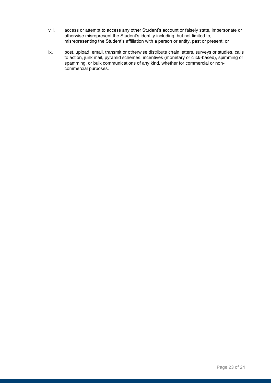- viii. access or attempt to access any other Student's account or falsely state, impersonate or otherwise misrepresent the Student's identity including, but not limited to, misrepresenting the Student's affiliation with a person or entity, past or present; or
- ix. post, upload, email, transmit or otherwise distribute chain letters, surveys or studies, calls to action, junk mail, pyramid schemes, incentives (monetary or click-based), spimming or spamming, or bulk communications of any kind, whether for commercial or noncommercial purposes.